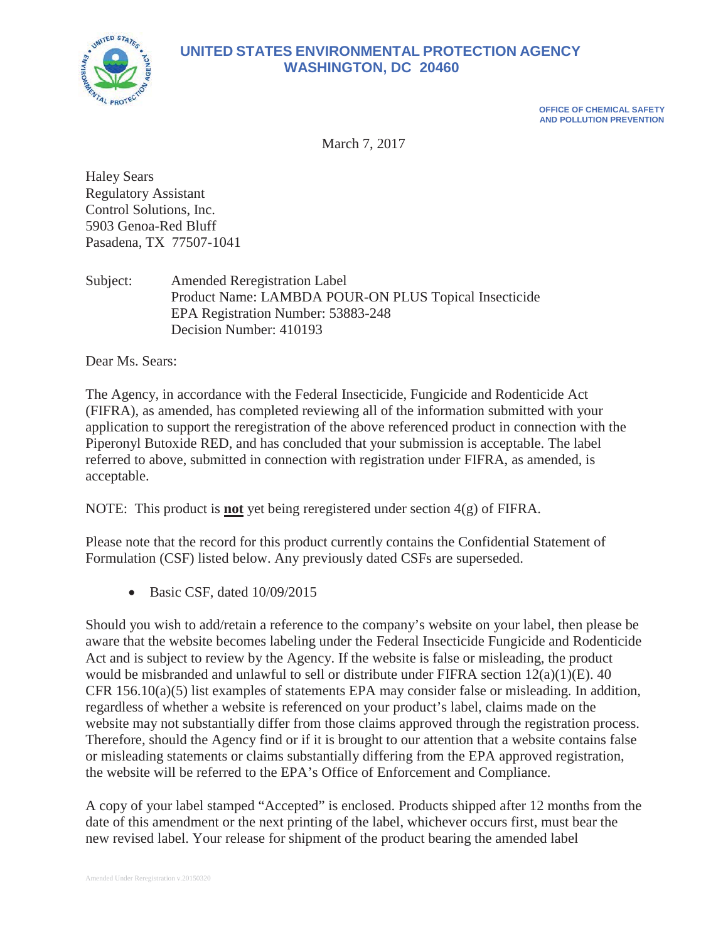

# **UNITED STATES ENVIRONMENTAL PROTECTION AGENCY WASHINGTON, DC 20460**

**OFFICE OF CHEMICAL SAFETY AND POLLUTION PREVENTION**

March 7, 2017

Haley Sears Regulatory Assistant Control Solutions, Inc. 5903 Genoa-Red Bluff Pasadena, TX 77507-1041

Subject: Amended Reregistration Label Product Name: LAMBDA POUR-ON PLUS Topical Insecticide EPA Registration Number: 53883-248 Decision Number: 410193

Dear Ms. Sears:

The Agency, in accordance with the Federal Insecticide, Fungicide and Rodenticide Act (FIFRA), as amended, has completed reviewing all of the information submitted with your application to support the reregistration of the above referenced product in connection with the Piperonyl Butoxide RED, and has concluded that your submission is acceptable. The label referred to above, submitted in connection with registration under FIFRA, as amended, is acceptable.

NOTE: This product is **not** yet being reregistered under section 4(g) of FIFRA.

Please note that the record for this product currently contains the Confidential Statement of Formulation (CSF) listed below. Any previously dated CSFs are superseded.

 $\bullet$  Basic CSF, dated 10/09/2015

Should you wish to add/retain a reference to the company's website on your label, then please be aware that the website becomes labeling under the Federal Insecticide Fungicide and Rodenticide Act and is subject to review by the Agency. If the website is false or misleading, the product would be misbranded and unlawful to sell or distribute under FIFRA section 12(a)(1)(E). 40 CFR 156.10(a)(5) list examples of statements EPA may consider false or misleading. In addition, regardless of whether a website is referenced on your product's label, claims made on the website may not substantially differ from those claims approved through the registration process. Therefore, should the Agency find or if it is brought to our attention that a website contains false or misleading statements or claims substantially differing from the EPA approved registration, the website will be referred to the EPA's Office of Enforcement and Compliance.

A copy of your label stamped "Accepted" is enclosed. Products shipped after 12 months from the date of this amendment or the next printing of the label, whichever occurs first, must bear the new revised label. Your release for shipment of the product bearing the amended label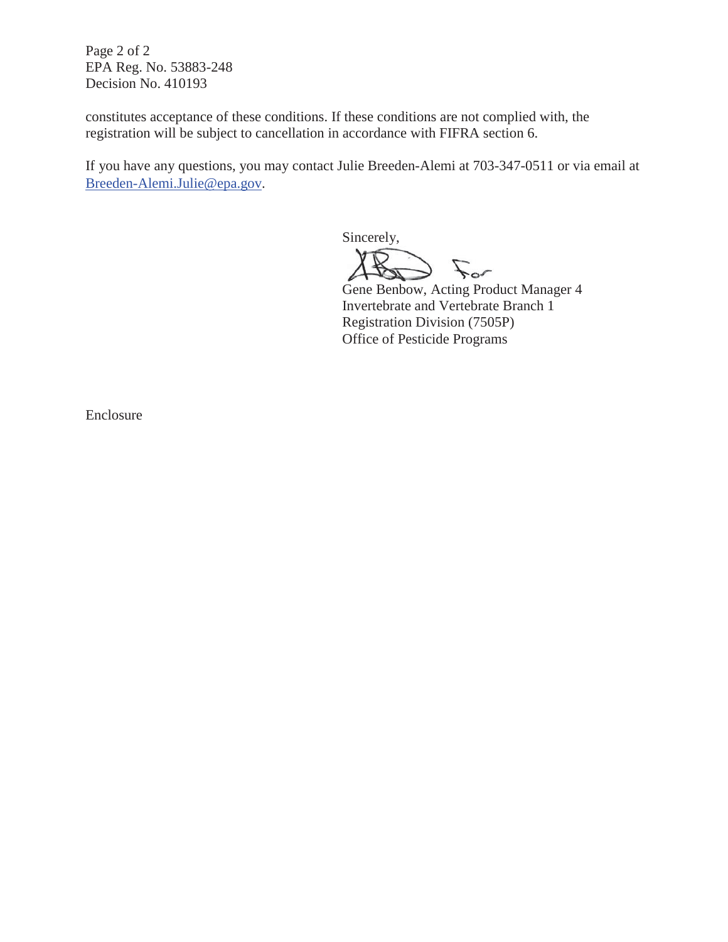Page 2 of 2 EPA Reg. No. 53883-248 Decision No. 410193

constitutes acceptance of these conditions. If these conditions are not complied with, the registration will be subject to cancellation in accordance with FIFRA section 6.

If you have any questions, you may contact Julie Breeden-Alemi at 703-347-0511 or via email at Breeden-Alemi.Julie@epa.gov.

Sincerely, for For

Gene Benbow, Acting Product Manager 4 Invertebrate and Vertebrate Branch 1 Registration Division (7505P) Office of Pesticide Programs

Enclosure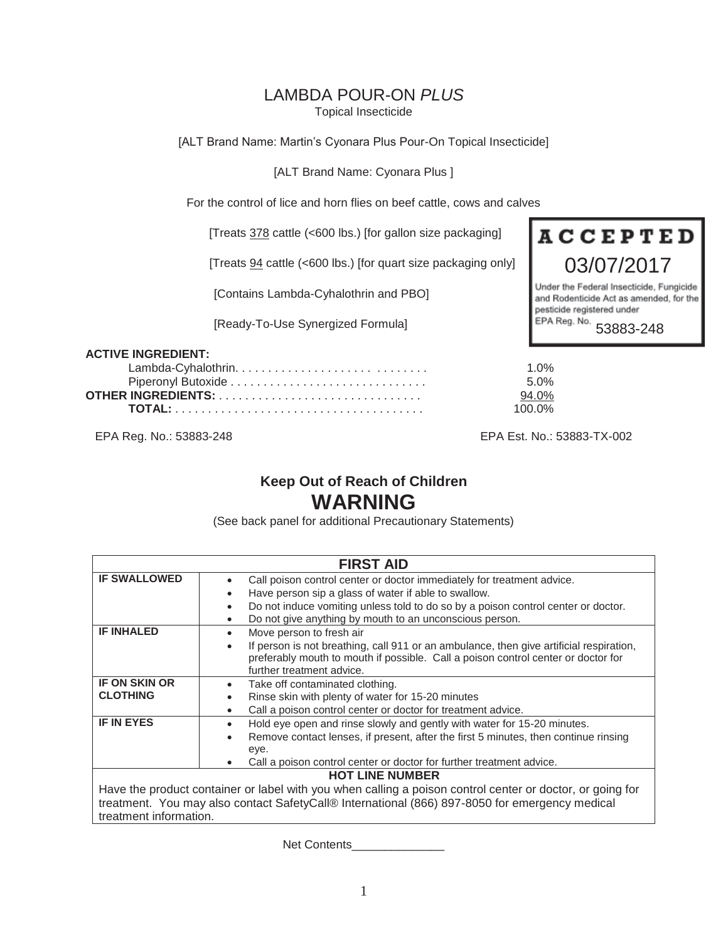# LAMBDA POUR-ON *PLUS*

Topical Insecticide

[ALT Brand Name: Martin's Cyonara Plus Pour-On Topical Insecticide]

[ALT Brand Name: Cyonara Plus ]

For the control of lice and horn flies on beef cattle, cows and calves

[Treats 378 cattle (<600 lbs.) [for gallon size packaging]

[Treats 94 cattle (<600 lbs.) [for quart size packaging only]

[Contains Lambda-Cyhalothrin and PBO]

[Ready-To-Use Synergized Formula]



and Rodenticide Act as amended, for the pesticide registered under EPA Reg. No. 53883-248

#### **ACTIVE INGREDIENT:**

| 1 በ%   |
|--------|
| .5 በ%  |
| 94 0%  |
| 100 0% |

EPA Reg. No.: 53883-248 EPA Est. No.: 53883-TX-002

# **Keep Out of Reach of Children WARNING**

(See back panel for additional Precautionary Statements)

| <b>FIRST AID</b>                                                                                                                                                                                                                                                |                                                                                                                                                                                                                                                                                                                                    |  |  |
|-----------------------------------------------------------------------------------------------------------------------------------------------------------------------------------------------------------------------------------------------------------------|------------------------------------------------------------------------------------------------------------------------------------------------------------------------------------------------------------------------------------------------------------------------------------------------------------------------------------|--|--|
| <b>IF SWALLOWED</b>                                                                                                                                                                                                                                             | Call poison control center or doctor immediately for treatment advice.<br>$\bullet$<br>Have person sip a glass of water if able to swallow.<br>$\bullet$<br>Do not induce vomiting unless told to do so by a poison control center or doctor.<br>$\bullet$<br>Do not give anything by mouth to an unconscious person.<br>$\bullet$ |  |  |
| <b>IF INHALED</b>                                                                                                                                                                                                                                               | Move person to fresh air<br>$\bullet$<br>If person is not breathing, call 911 or an ambulance, then give artificial respiration,<br>$\bullet$<br>preferably mouth to mouth if possible. Call a poison control center or doctor for<br>further treatment advice.                                                                    |  |  |
| <b>IF ON SKIN OR</b><br><b>CLOTHING</b>                                                                                                                                                                                                                         | Take off contaminated clothing.<br>$\bullet$<br>Rinse skin with plenty of water for 15-20 minutes<br>$\bullet$<br>Call a poison control center or doctor for treatment advice.<br>$\bullet$                                                                                                                                        |  |  |
| <b>IF IN EYES</b>                                                                                                                                                                                                                                               | Hold eye open and rinse slowly and gently with water for 15-20 minutes.<br>$\bullet$<br>Remove contact lenses, if present, after the first 5 minutes, then continue rinsing<br>$\bullet$<br>eye.<br>Call a poison control center or doctor for further treatment advice.<br>$\bullet$                                              |  |  |
| <b>HOT LINE NUMBER</b><br>Have the product container or label with you when calling a poison control center or doctor, or going for<br>treatment. You may also contact SafetyCall® International (866) 897-8050 for emergency medical<br>treatment information. |                                                                                                                                                                                                                                                                                                                                    |  |  |

Net Contents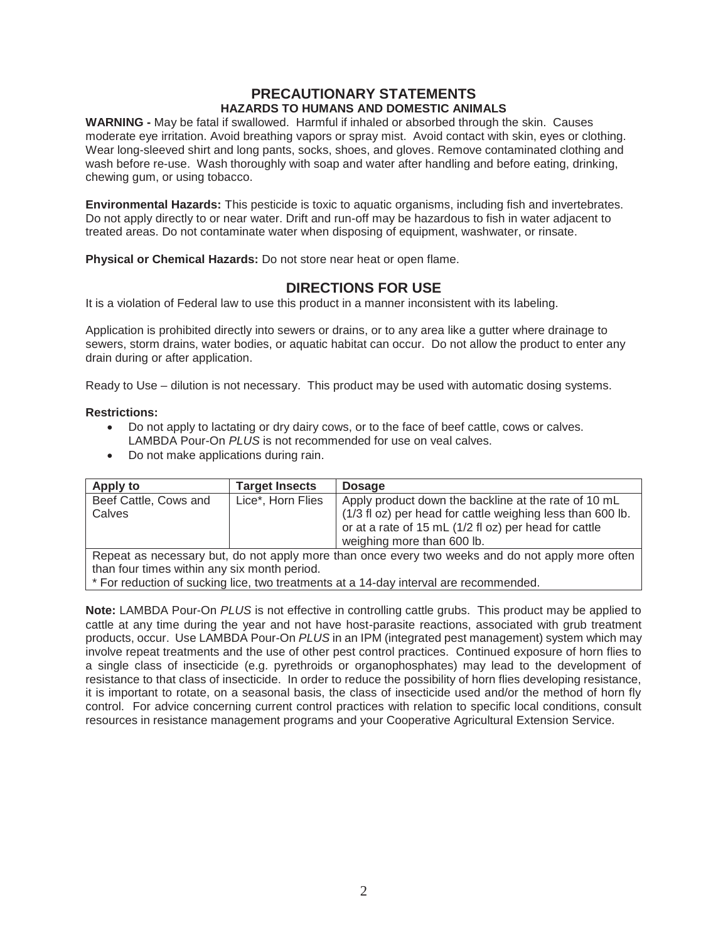## **PRECAUTIONARY STATEMENTS HAZARDS TO HUMANS AND DOMESTIC ANIMALS**

**WARNING -** May be fatal if swallowed.Harmful if inhaled or absorbed through the skin. Causes moderate eye irritation. Avoid breathing vapors or spray mist. Avoid contact with skin, eyes or clothing. Wear long-sleeved shirt and long pants, socks, shoes, and gloves. Remove contaminated clothing and wash before re-use. Wash thoroughly with soap and water after handling and before eating, drinking, chewing gum, or using tobacco.

**Environmental Hazards:** This pesticide is toxic to aquatic organisms, including fish and invertebrates. Do not apply directly to or near water. Drift and run-off may be hazardous to fish in water adjacent to treated areas. Do not contaminate water when disposing of equipment, washwater, or rinsate.

**Physical or Chemical Hazards:** Do not store near heat or open flame.

## **DIRECTIONS FOR USE**

It is a violation of Federal law to use this product in a manner inconsistent with its labeling.

Application is prohibited directly into sewers or drains, or to any area like a gutter where drainage to sewers, storm drains, water bodies, or aquatic habitat can occur. Do not allow the product to enter any drain during or after application.

Ready to Use – dilution is not necessary. This product may be used with automatic dosing systems.

#### **Restrictions:**

- Do not apply to lactating or dry dairy cows, or to the face of beef cattle, cows or calves. LAMBDA Pour-On *PLUS* is not recommended for use on veal calves.
- Do not make applications during rain.

| Apply to                                                                                         | <b>Target Insects</b> | <b>Dosage</b>                                                                                                                                                                                             |
|--------------------------------------------------------------------------------------------------|-----------------------|-----------------------------------------------------------------------------------------------------------------------------------------------------------------------------------------------------------|
| Beef Cattle, Cows and<br>Calves                                                                  | Lice*, Horn Flies     | Apply product down the backline at the rate of 10 mL<br>(1/3 fl oz) per head for cattle weighing less than 600 lb.<br>or at a rate of 15 mL (1/2 fl oz) per head for cattle<br>weighing more than 600 lb. |
| Repeat as necessary but, do not apply more than once every two weeks and do not apply more often |                       |                                                                                                                                                                                                           |

than four times within any six month period.

\* For reduction of sucking lice, two treatments at a 14-day interval are recommended.

**Note:** LAMBDA Pour-On *PLUS* is not effective in controlling cattle grubs. This product may be applied to cattle at any time during the year and not have host-parasite reactions, associated with grub treatment products, occur. Use LAMBDA Pour-On *PLUS* in an IPM (integrated pest management) system which may involve repeat treatments and the use of other pest control practices. Continued exposure of horn flies to a single class of insecticide (e.g. pyrethroids or organophosphates) may lead to the development of resistance to that class of insecticide. In order to reduce the possibility of horn flies developing resistance, it is important to rotate, on a seasonal basis, the class of insecticide used and/or the method of horn fly control. For advice concerning current control practices with relation to specific local conditions, consult resources in resistance management programs and your Cooperative Agricultural Extension Service.